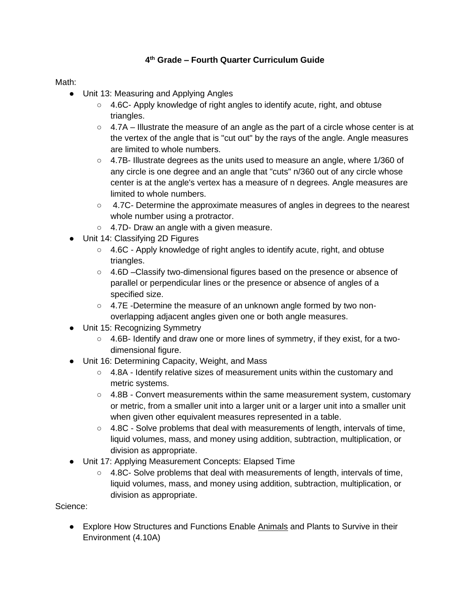## **4 th Grade – Fourth Quarter Curriculum Guide**

Math:

- Unit 13: Measuring and Applying Angles
	- 4.6C- Apply knowledge of right angles to identify acute, right, and obtuse triangles.
	- $\circ$  4.7A Illustrate the measure of an angle as the part of a circle whose center is at the vertex of the angle that is "cut out" by the rays of the angle. Angle measures are limited to whole numbers.
	- 4.7B- Illustrate degrees as the units used to measure an angle, where 1/360 of any circle is one degree and an angle that "cuts" n/360 out of any circle whose center is at the angle's vertex has a measure of n degrees. Angle measures are limited to whole numbers.
	- 4.7C- Determine the approximate measures of angles in degrees to the nearest whole number using a protractor.
	- 4.7D- Draw an angle with a given measure.
- Unit 14: Classifying 2D Figures
	- $\circ$  4.6C Apply knowledge of right angles to identify acute, right, and obtuse triangles.
	- 4.6D –Classify two-dimensional figures based on the presence or absence of parallel or perpendicular lines or the presence or absence of angles of a specified size.
	- 4.7E -Determine the measure of an unknown angle formed by two nonoverlapping adjacent angles given one or both angle measures.
- Unit 15: Recognizing Symmetry
	- 4.6B- Identify and draw one or more lines of symmetry, if they exist, for a twodimensional figure.
- Unit 16: Determining Capacity, Weight, and Mass
	- $\circ$  4.8A Identify relative sizes of measurement units within the customary and metric systems.
	- $\circ$  4.8B Convert measurements within the same measurement system, customary or metric, from a smaller unit into a larger unit or a larger unit into a smaller unit when given other equivalent measures represented in a table.
	- $\circ$  4.8C Solve problems that deal with measurements of length, intervals of time, liquid volumes, mass, and money using addition, subtraction, multiplication, or division as appropriate.
- Unit 17: Applying Measurement Concepts: Elapsed Time
	- $\circ$  4.8C- Solve problems that deal with measurements of length, intervals of time, liquid volumes, mass, and money using addition, subtraction, multiplication, or division as appropriate.

Science:

● Explore How Structures and Functions Enable Animals and Plants to Survive in their Environment (4.10A)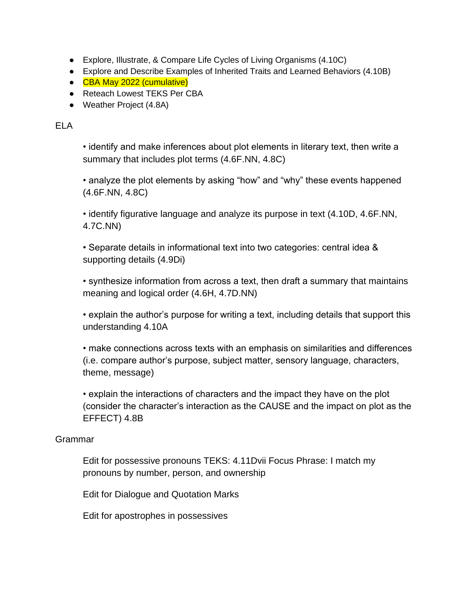- Explore, Illustrate, & Compare Life Cycles of Living Organisms (4.10C)
- Explore and Describe Examples of Inherited Traits and Learned Behaviors (4.10B)
- CBA May 2022 (cumulative)
- Reteach Lowest TEKS Per CBA
- Weather Project (4.8A)

ELA

• identify and make inferences about plot elements in literary text, then write a summary that includes plot terms (4.6F.NN, 4.8C)

• analyze the plot elements by asking "how" and "why" these events happened (4.6F.NN, 4.8C)

• identify figurative language and analyze its purpose in text (4.10D, 4.6F.NN, 4.7C.NN)

• Separate details in informational text into two categories: central idea & supporting details (4.9Di)

• synthesize information from across a text, then draft a summary that maintains meaning and logical order (4.6H, 4.7D.NN)

• explain the author's purpose for writing a text, including details that support this understanding 4.10A

• make connections across texts with an emphasis on similarities and differences (i.e. compare author's purpose, subject matter, sensory language, characters, theme, message)

• explain the interactions of characters and the impact they have on the plot (consider the character's interaction as the CAUSE and the impact on plot as the EFFECT) 4.8B

## Grammar

Edit for possessive pronouns TEKS: 4.11Dvii Focus Phrase: I match my pronouns by number, person, and ownership

Edit for Dialogue and Quotation Marks

Edit for apostrophes in possessives